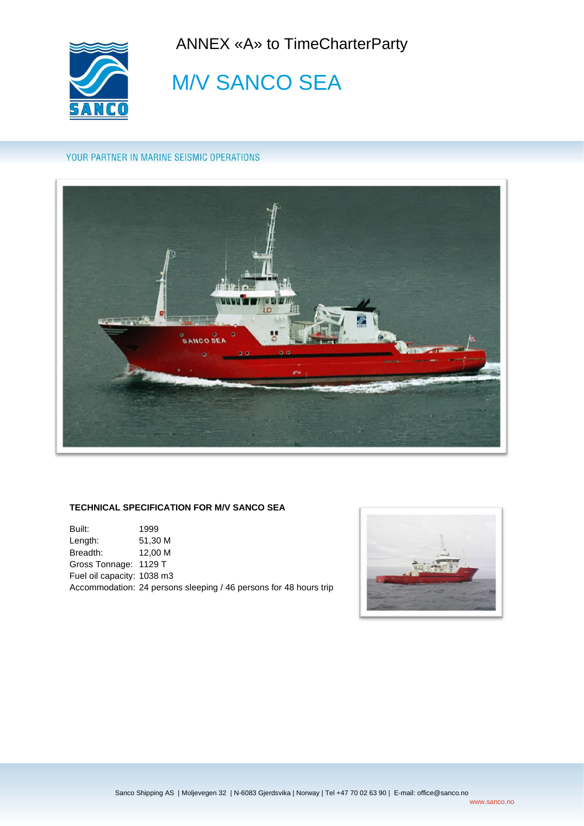ANNEX «A» to TimeCharterParty



**M/V SANCO SEA** 

## YOUR PARTNER IN MARINE SEISMIC OPERATIONS



### **TECHNICAL SPECIFICATION FOR M/V SANCO SEA**

Built: 1999 Length: 51,30 M Breadth: 12,00 M Gross Tonnage: 1129 T Fuel oil capacity: 1038 m3 Accommodation: 24 persons sleeping / 46 persons for 48 hours trip